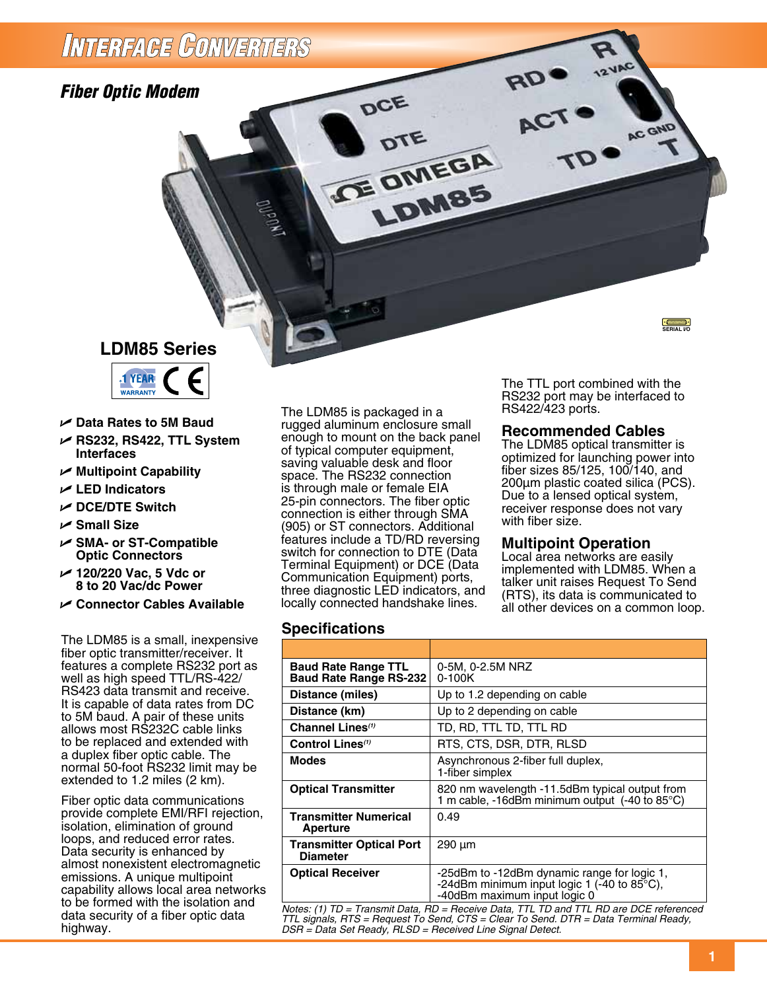## INTERFAGE CONVERTERS

*Fiber Optic Modem*

## **LDM85 Series**



- U **Data Rates to 5M Baud**
- U **RS232, RS422, TTL System Interfaces**
- U **Multipoint Capability**
- U **LED Indicators**
- U **DCE/DTE Switch**
- U **Small Size**
- U **SMA- or ST-Compatible Optic Connectors**
- U **120/220 Vac, 5 Vdc or 8 to 20 Vac/dc Power**
- U **Connector Cables Available**

The LDM85 is a small, inexpensive fiber optic transmitter/receiver. It features a complete RS232 port as well as high speed TTL/RS-422/ RS423 data transmit and receive. It is capable of data rates from DC to 5M baud. A pair of these units allows most RS232C cable links to be replaced and extended with a duplex fiber optic cable. The normal 50-foot RS232 limit may be extended to 1.2 miles (2 km).

Fiber optic data communications provide complete EMI/RFI rejection, isolation, elimination of ground loops, and reduced error rates. Data security is enhanced by almost nonexistent electromagnetic emissions. A unique multipoint capability allows local area networks to be formed with the isolation and data security of a fiber optic data highway.

The LDM85 is packaged in a rugged aluminum enclosure small enough to mount on the back panel of typical computer equipment, saving valuable desk and floor space. The RS232 connection is through male or female EIA 25-pin connectors. The fiber optic connection is either through SMA (905) or ST connectors. Additional features include a TD/RD reversing switch for connection to DTE (Data Terminal Equipment) or DCE (Data Communication Equipment) ports, three diagnostic LED indicators, and locally connected handshake lines.

DCE

**ICE OMEGA** 

LDM85

The TTL port combined with the RS232 port may be interfaced to RS422/423 ports.

**Common**<br>SERIAL I/O

AC GND

#### **Recommended Cables**

The LDM85 optical transmitter is optimized for launching power into fiber sizes 85/125, 100/140, and 200µm plastic coated silica (PCS). Due to a lensed optical system, receiver response does not vary with fiber size.

#### **Multipoint Operation**

Local area networks are easily implemented with LDM85. When a talker unit raises Request To Send (RTS), its data is communicated to all other devices on a common loop.

#### **Specifications**

| <b>Baud Rate Range TTL</b><br><b>Baud Rate Range RS-232</b>                                  | 0-5M, 0-2.5M NRZ<br>$0 - 100K$                                                                                                       |  |  |
|----------------------------------------------------------------------------------------------|--------------------------------------------------------------------------------------------------------------------------------------|--|--|
| Distance (miles)                                                                             | Up to 1.2 depending on cable                                                                                                         |  |  |
| Distance (km)                                                                                | Up to 2 depending on cable                                                                                                           |  |  |
| Channel Lines <sup>(1)</sup>                                                                 | TD, RD, TTL TD, TTL RD                                                                                                               |  |  |
| Control Lines <sup>(1)</sup>                                                                 | RTS, CTS, DSR, DTR, RLSD                                                                                                             |  |  |
| <b>Modes</b>                                                                                 | Asynchronous 2-fiber full duplex,<br>1-fiber simplex                                                                                 |  |  |
| <b>Optical Transmitter</b>                                                                   | 820 nm wavelength -11.5dBm typical output from<br>1 m cable, -16dBm minimum output (-40 to 85°C)                                     |  |  |
| <b>Transmitter Numerical</b><br><b>Aperture</b>                                              | 0.49                                                                                                                                 |  |  |
| <b>Transmitter Optical Port</b><br><b>Diameter</b>                                           | $290 \mu m$                                                                                                                          |  |  |
| <b>Optical Receiver</b>                                                                      | -25dBm to -12dBm dynamic range for logic 1,<br>-24dBm minimum input logic 1 (-40 to $85^{\circ}$ C),<br>-40dBm maximum input logic 0 |  |  |
| Notes: (1) $ID =$ Transmit Data, $BD =$ Receive Data, TTI, TD and TTI, BD are DCF referenced |                                                                                                                                      |  |  |

*Notes: (1) TD = Transmit Data, RD = Receive Data, TTL TD and TTL RD are DCE referenced TTL signals, RTS = Request To Send, CTS = Clear To Send. DTR = Data Terminal Ready, DSR = Data Set Ready, RLSD = Received Line Signal Detect.*